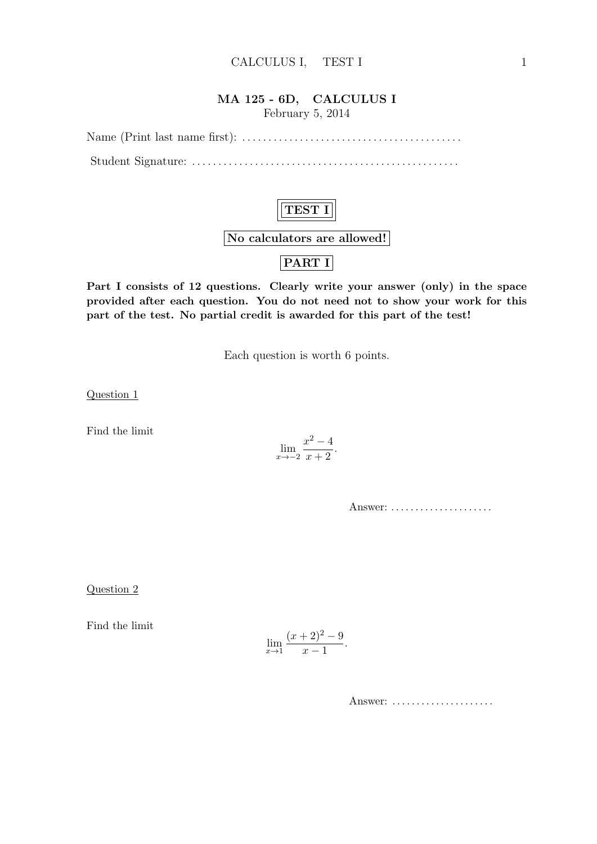#### MA 125 - 6D, CALCULUS I February 5, 2014

Name (Print last name first): . . . . . . . . . . . . . . . . . . . . . . . . . . . . . . . . . . . . . . . . . . Student Signature: . . . . . . . . . . . . . . . . . . . . . . . . . . . . . . . . . . . . . . . . . . . . . . . . . . .



Part I consists of 12 questions. Clearly write your answer (only) in the space provided after each question. You do not need not to show your work for this part of the test. No partial credit is awarded for this part of the test!

Each question is worth 6 points.

Question 1

Find the limit

$$
\lim_{x \to -2} \frac{x^2 - 4}{x + 2}.
$$

Answer: . . . . . . . . . . . . . . . . . . . . .

Question 2

Find the limit

$$
\lim_{x \to 1} \frac{(x+2)^2 - 9}{x-1}.
$$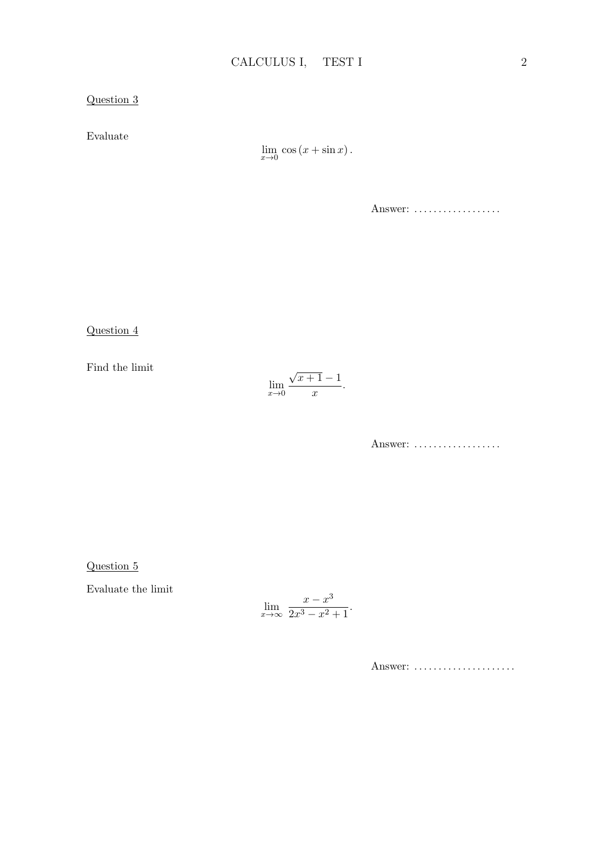Evaluate

 $\lim_{x\to 0} \cos(x + \sin x).$ 

Answer: ..................

Question 4

Find the limit

$$
\lim_{x \to 0} \frac{\sqrt{x+1} - 1}{x}.
$$

Answer: ...................

Question 5

Evaluate the limit

$$
\lim_{x \to \infty} \frac{x - x^3}{2x^3 - x^2 + 1}.
$$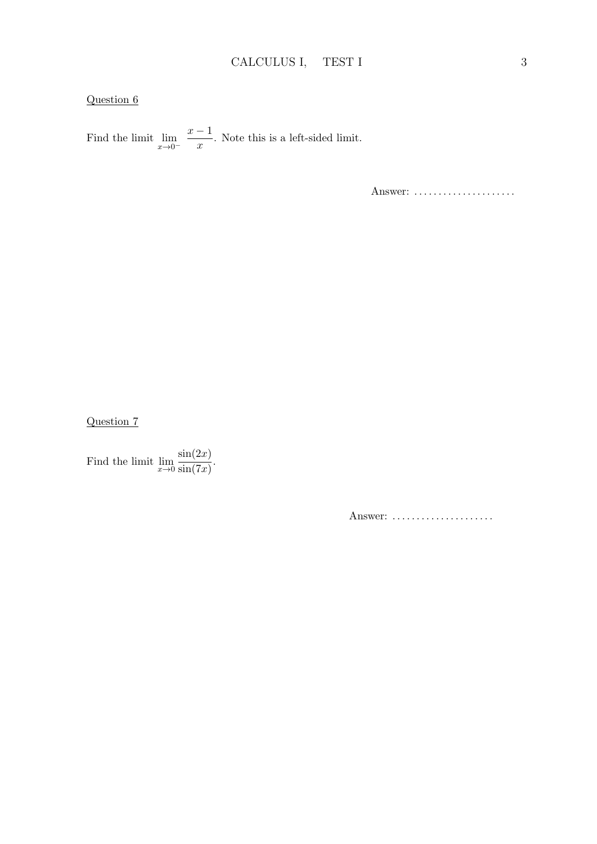Find the limit  $\lim_{x\to 0^-}$  $x - 1$  $\frac{1}{x}$ . Note this is a left-sided limit.

Answer: ......................

Question 7

Find the limit  $\lim_{x\to 0}$  $\sin(2x)$  $\frac{\sin(7x)}{\sin(7x)}$ .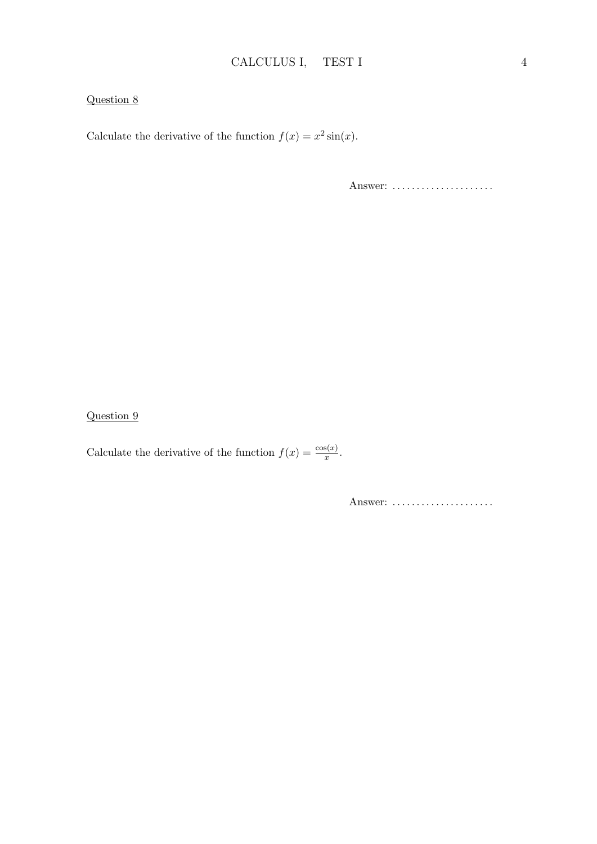Calculate the derivative of the function  $f(x) = x^2 \sin(x)$ .

Answer: ......................

Question 9

Calculate the derivative of the function  $f(x) = \frac{\cos(x)}{x}$ .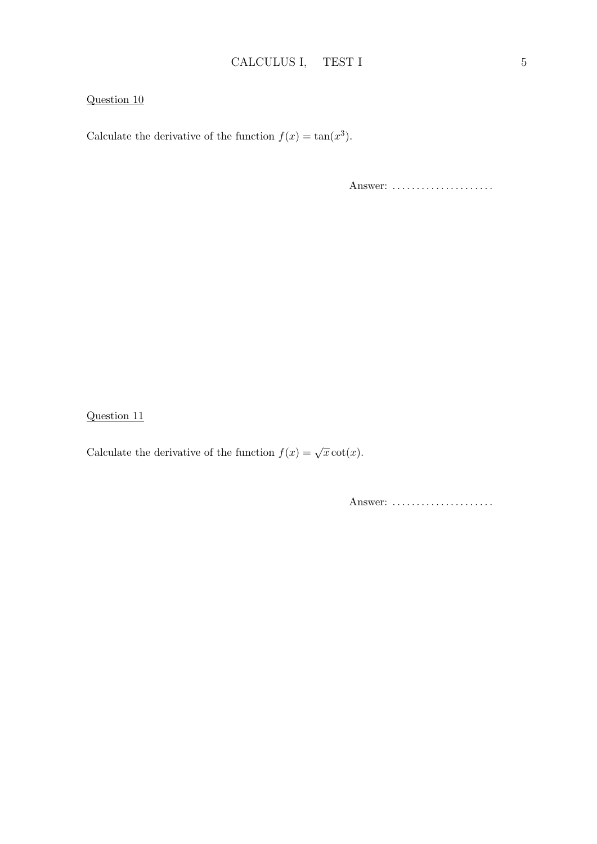Calculate the derivative of the function  $f(x) = \tan(x^3)$ .

Answer: ......................

Question 11

Calculate the derivative of the function  $f(x) = \sqrt{x} \cot(x)$ .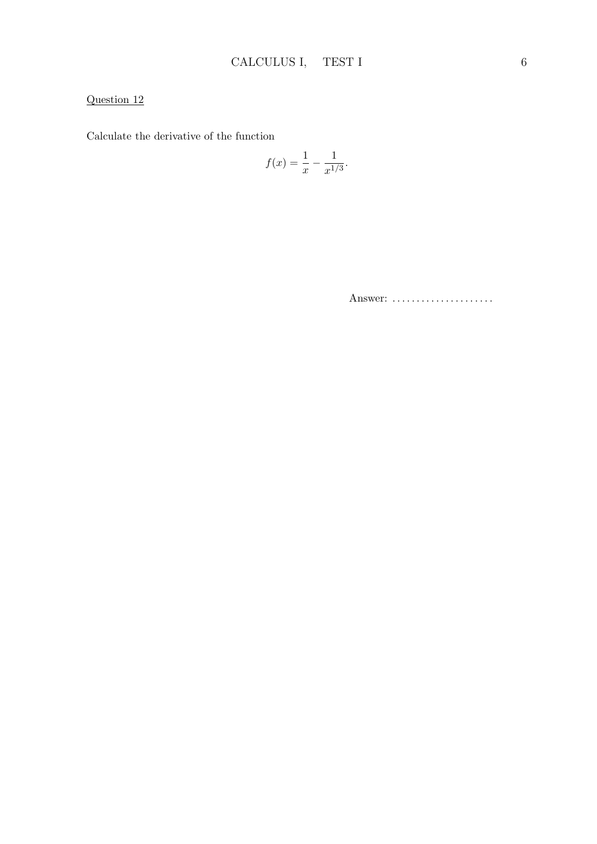Calculate the derivative of the function

$$
f(x) = \frac{1}{x} - \frac{1}{x^{1/3}}.
$$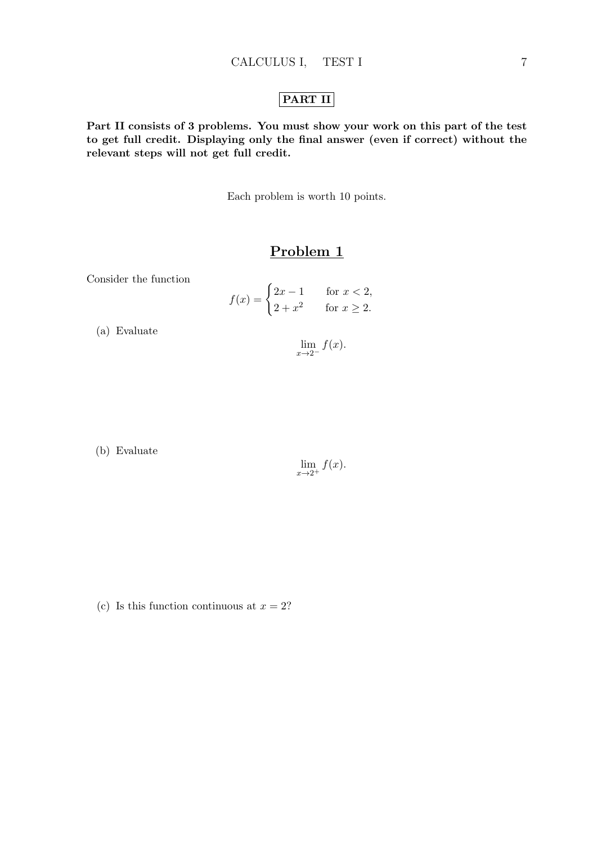## PART II

Part II consists of 3 problems. You must show your work on this part of the test to get full credit. Displaying only the final answer (even if correct) without the relevant steps will not get full credit.

Each problem is worth 10 points.

## Problem 1

Consider the function

$$
f(x) = \begin{cases} 2x - 1 & \text{for } x < 2, \\ 2 + x^2 & \text{for } x \ge 2. \end{cases}
$$

(a) Evaluate

 $\lim_{x\to 2^-} f(x).$ 

(b) Evaluate

$$
\lim_{x \to 2^+} f(x).
$$

(c) Is this function continuous at  $x = 2$ ?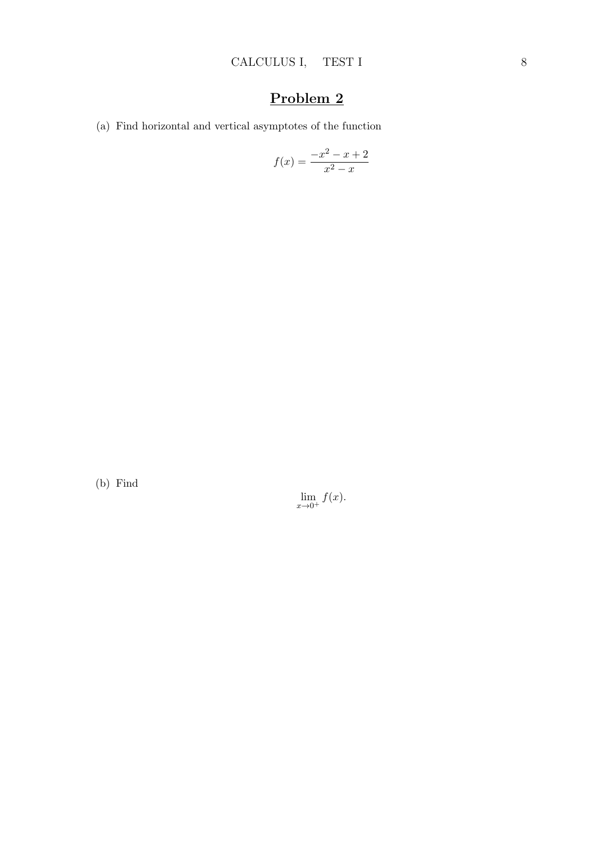# Problem 2

(a) Find horizontal and vertical asymptotes of the function

$$
f(x) = \frac{-x^2 - x + 2}{x^2 - x}
$$

(b) Find

 $\lim_{x\to 0^+} f(x).$